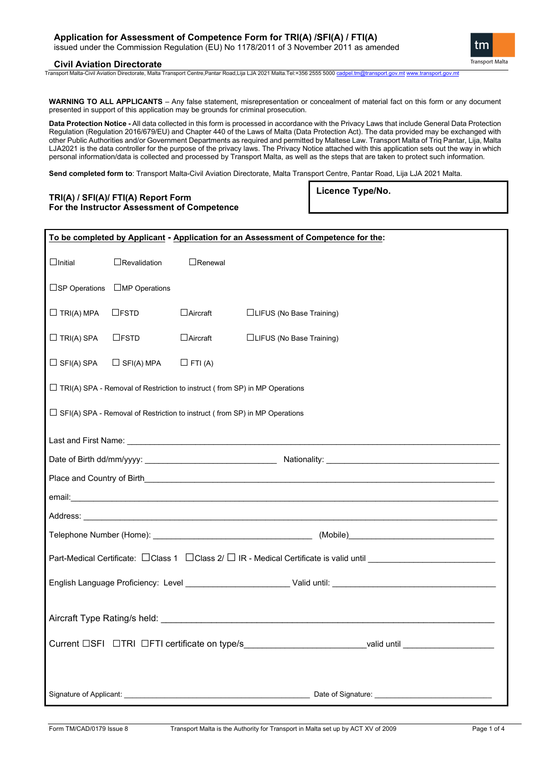# **Civil Aviation Directorate**

Transport Malta-Civil Aviation Directorate, Malta Transport Centre,Pantar Road,Lija LJA 2021 Malta.Tel:+356 2555 5000 [cadpel.tm@transport.gov.mt](mailto:cadpel.tm@transport.gov.mt) [www.transport.gov.mt](http://www.transport.gov.mt/)

**WARNING TO ALL APPLICANTS** – Any false statement, misrepresentation or concealment of material fact on this form or any document presented in support of this application may be grounds for criminal prosecution.

**Data Protection Notice -** All data collected in this form is processed in accordance with the Privacy Laws that include General Data Protection Regulation (Regulation 2016/679/EU) and Chapter 440 of the Laws of Malta (Data Protection Act). The data provided may be exchanged with other Public Authorities and/or Government Departments as required and permitted by Maltese Law. Transport Malta of Triq Pantar, Lija, Malta LJA2021 is the data controller for the purpose of the privacy laws. The Privacy Notice attached with this application sets out the way in which personal information/data is collected and processed by Transport Malta, as well as the steps that are taken to protect such information.

**Send completed form to**: Transport Malta-Civil Aviation Directorate, Malta Transport Centre, Pantar Road, Lija LJA 2021 Malta.

| TRI(A) / SFI(A)/ FTI(A) Report Form         |  |
|---------------------------------------------|--|
| For the Instructor Assessment of Competence |  |

**Licence Type/No.**

|                                                                                                                |                         |                                                                                   | To be completed by Applicant - Application for an Assessment of Competence for the: |  |  |
|----------------------------------------------------------------------------------------------------------------|-------------------------|-----------------------------------------------------------------------------------|-------------------------------------------------------------------------------------|--|--|
| $\Box$ Initial                                                                                                 | $\Box$ Revalidation     | $\Box$ Renewal                                                                    |                                                                                     |  |  |
| $\square$ SP Operations                                                                                        | $\square$ MP Operations |                                                                                   |                                                                                     |  |  |
| $\Box$ TRI(A) MPA                                                                                              | $\Box$ FSTD             | $\Box$ Aircraft                                                                   | □LIFUS (No Base Training)                                                           |  |  |
| $\Box$ TRI(A) SPA                                                                                              | $\Box$ FSTD             | $\Box$ Aircraft                                                                   | □LIFUS (No Base Training)                                                           |  |  |
| $\Box$ SFI(A) SPA                                                                                              | $\Box$ SFI(A) MPA       | $\Box$ FTI (A)                                                                    |                                                                                     |  |  |
| $\Box$ TRI(A) SPA - Removal of Restriction to instruct (from SP) in MP Operations                              |                         |                                                                                   |                                                                                     |  |  |
|                                                                                                                |                         | $\Box$ SFI(A) SPA - Removal of Restriction to instruct (from SP) in MP Operations |                                                                                     |  |  |
|                                                                                                                |                         |                                                                                   |                                                                                     |  |  |
|                                                                                                                |                         |                                                                                   |                                                                                     |  |  |
|                                                                                                                |                         |                                                                                   |                                                                                     |  |  |
|                                                                                                                |                         |                                                                                   |                                                                                     |  |  |
|                                                                                                                |                         |                                                                                   |                                                                                     |  |  |
|                                                                                                                |                         |                                                                                   | (Mobile)                                                                            |  |  |
| Part-Medical Certificate: $\Box$ Class 1 $\Box$ Class 2/ $\Box$ IR - Medical Certificate is valid until $\Box$ |                         |                                                                                   |                                                                                     |  |  |
|                                                                                                                |                         |                                                                                   |                                                                                     |  |  |
| Aircraft Type Rating/s held: National Aircraft Type Rating/s held:                                             |                         |                                                                                   |                                                                                     |  |  |
|                                                                                                                |                         |                                                                                   |                                                                                     |  |  |
|                                                                                                                |                         |                                                                                   |                                                                                     |  |  |
|                                                                                                                |                         |                                                                                   |                                                                                     |  |  |

tm **Transport Malta**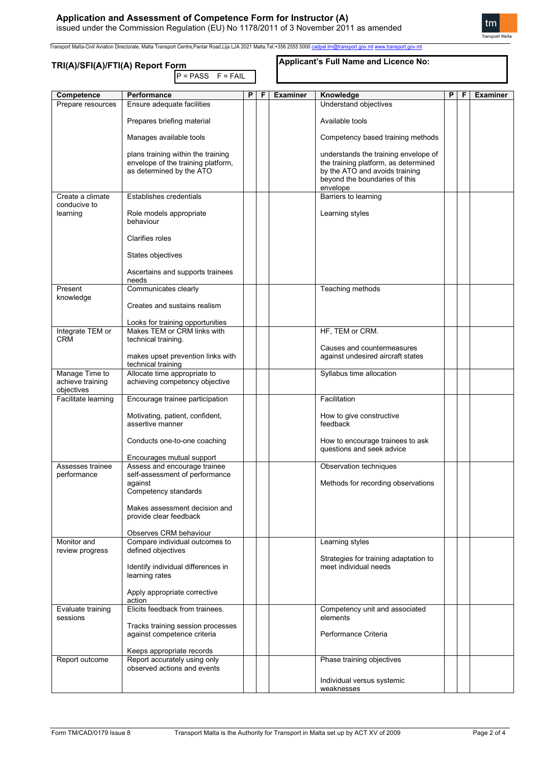# **Application and Assessment of Competence Form for Instructor (A)** issued under the Commission Regulation (EU) No 1178/2011 of 3 November 2011 as amended

Transport Malta-Civil Aviation Directorate, Malta Transport Centre,Pantar Road,Lija LJA 2021 Malta.Tel:+356 2555 5000 [cadpel.tm@transport.gov.mt](mailto:cadpel.tm@transport.gov.mt) [www.transport.gov.mt](http://www.transport.gov.mt/)

# **TRI(A)/SFI(A)/FTI(A) Report Form**

 $P = PASS F = FAIL$ 

### **Applicant's Full Name and Licence No:**

| Competence                        | Performance                        | P | F | <b>Examiner</b> | Knowledge                                                      | P | F | <b>Examiner</b> |
|-----------------------------------|------------------------------------|---|---|-----------------|----------------------------------------------------------------|---|---|-----------------|
| Prepare resources                 | Ensure adequate facilities         |   |   |                 | Understand objectives                                          |   |   |                 |
|                                   | Prepares briefing material         |   |   |                 | Available tools                                                |   |   |                 |
|                                   | Manages available tools            |   |   |                 | Competency based training methods                              |   |   |                 |
|                                   | plans training within the training |   |   |                 | understands the training envelope of                           |   |   |                 |
|                                   | envelope of the training platform, |   |   |                 | the training platform, as determined                           |   |   |                 |
|                                   | as determined by the ATO           |   |   |                 | by the ATO and avoids training                                 |   |   |                 |
|                                   |                                    |   |   |                 | beyond the boundaries of this                                  |   |   |                 |
|                                   |                                    |   |   |                 | envelope                                                       |   |   |                 |
| Create a climate                  | <b>Establishes credentials</b>     |   |   |                 | Barriers to learning                                           |   |   |                 |
| conducive to                      |                                    |   |   |                 |                                                                |   |   |                 |
| learning                          | Role models appropriate            |   |   |                 | Learning styles                                                |   |   |                 |
|                                   | behaviour                          |   |   |                 |                                                                |   |   |                 |
|                                   |                                    |   |   |                 |                                                                |   |   |                 |
|                                   | Clarifies roles                    |   |   |                 |                                                                |   |   |                 |
|                                   |                                    |   |   |                 |                                                                |   |   |                 |
|                                   | States objectives                  |   |   |                 |                                                                |   |   |                 |
|                                   |                                    |   |   |                 |                                                                |   |   |                 |
|                                   | Ascertains and supports trainees   |   |   |                 |                                                                |   |   |                 |
| Present                           | needs<br>Communicates clearly      |   |   |                 | Teaching methods                                               |   |   |                 |
| knowledge                         |                                    |   |   |                 |                                                                |   |   |                 |
|                                   | Creates and sustains realism       |   |   |                 |                                                                |   |   |                 |
|                                   |                                    |   |   |                 |                                                                |   |   |                 |
|                                   | Looks for training opportunities   |   |   |                 |                                                                |   |   |                 |
| Integrate TEM or                  | Makes TEM or CRM links with        |   |   |                 | HF, TEM or CRM.                                                |   |   |                 |
| <b>CRM</b>                        | technical training.                |   |   |                 |                                                                |   |   |                 |
|                                   |                                    |   |   |                 | Causes and countermeasures                                     |   |   |                 |
|                                   | makes upset prevention links with  |   |   |                 | against undesired aircraft states                              |   |   |                 |
|                                   | technical training                 |   |   |                 |                                                                |   |   |                 |
| Manage Time to                    | Allocate time appropriate to       |   |   |                 | Syllabus time allocation                                       |   |   |                 |
| achieve training                  | achieving competency objective     |   |   |                 |                                                                |   |   |                 |
| objectives<br>Facilitate learning | Encourage trainee participation    |   |   |                 | Facilitation                                                   |   |   |                 |
|                                   |                                    |   |   |                 |                                                                |   |   |                 |
|                                   | Motivating, patient, confident,    |   |   |                 | How to give constructive                                       |   |   |                 |
|                                   | assertive manner                   |   |   |                 | feedback                                                       |   |   |                 |
|                                   |                                    |   |   |                 |                                                                |   |   |                 |
|                                   | Conducts one-to-one coaching       |   |   |                 | How to encourage trainees to ask                               |   |   |                 |
|                                   |                                    |   |   |                 | questions and seek advice                                      |   |   |                 |
|                                   | Encourages mutual support          |   |   |                 |                                                                |   |   |                 |
| Assesses trainee                  | Assess and encourage trainee       |   |   |                 | Observation techniques                                         |   |   |                 |
| performance                       | self-assessment of performance     |   |   |                 |                                                                |   |   |                 |
|                                   | against<br>Competency standards    |   |   |                 | Methods for recording observations                             |   |   |                 |
|                                   |                                    |   |   |                 |                                                                |   |   |                 |
|                                   | Makes assessment decision and      |   |   |                 |                                                                |   |   |                 |
|                                   | provide clear feedback             |   |   |                 |                                                                |   |   |                 |
|                                   |                                    |   |   |                 |                                                                |   |   |                 |
|                                   | Observes CRM behaviour             |   |   |                 |                                                                |   |   |                 |
| Monitor and                       | Compare individual outcomes to     |   |   |                 | Learning styles                                                |   |   |                 |
| review progress                   | defined objectives                 |   |   |                 |                                                                |   |   |                 |
|                                   | Identify individual differences in |   |   |                 | Strategies for training adaptation to<br>meet individual needs |   |   |                 |
|                                   | learning rates                     |   |   |                 |                                                                |   |   |                 |
|                                   |                                    |   |   |                 |                                                                |   |   |                 |
|                                   | Apply appropriate corrective       |   |   |                 |                                                                |   |   |                 |
|                                   | action                             |   |   |                 |                                                                |   |   |                 |
| Evaluate training                 | Elicits feedback from trainees.    |   |   |                 | Competency unit and associated                                 |   |   |                 |
| sessions                          |                                    |   |   |                 | elements                                                       |   |   |                 |
|                                   | Tracks training session processes  |   |   |                 |                                                                |   |   |                 |
|                                   | against competence criteria        |   |   |                 | Performance Criteria                                           |   |   |                 |
|                                   | Keeps appropriate records          |   |   |                 |                                                                |   |   |                 |
| Report outcome                    | Report accurately using only       |   |   |                 | Phase training objectives                                      |   |   |                 |
|                                   | observed actions and events        |   |   |                 |                                                                |   |   |                 |
|                                   |                                    |   |   |                 | Individual versus systemic                                     |   |   |                 |
|                                   |                                    |   |   |                 | weaknesses                                                     |   |   |                 |
|                                   |                                    |   |   |                 |                                                                |   |   |                 |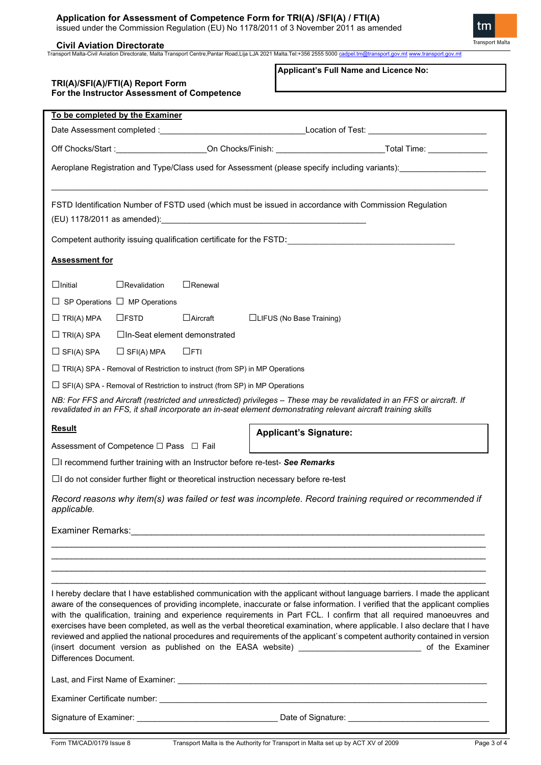# **Application for Assessment of Competence Form for TRI(A) /SFI(A) / FTI(A)**

issued under the Commission Regulation (EU) No 1178/2011 of 3 November 2011 as amended

# **Civil Aviation Directorate**

Transport Malta-Civil Aviation Directorate, Malta Transport Centre,Pantar Road,Lija LJA 2021 Malta.Tel:+356 2555 5000 <u>[cadpel.tm@transport.gov.mt](mailto:cadpel.tm@transport.gov.mt) [www.transport.gov.mt](http://www.transport.gov.mt/)</u>

| TRI(A)/SFI(A)/FTI(A) Report Form |                                             |                                                                                   | Applicant's Full Name and Licence No:                                                                                                                                                                                                                                                                                                                                                                                                                                                                                                                                                                                        |  |  |  |  |
|----------------------------------|---------------------------------------------|-----------------------------------------------------------------------------------|------------------------------------------------------------------------------------------------------------------------------------------------------------------------------------------------------------------------------------------------------------------------------------------------------------------------------------------------------------------------------------------------------------------------------------------------------------------------------------------------------------------------------------------------------------------------------------------------------------------------------|--|--|--|--|
|                                  | For the Instructor Assessment of Competence |                                                                                   |                                                                                                                                                                                                                                                                                                                                                                                                                                                                                                                                                                                                                              |  |  |  |  |
|                                  | To be completed by the Examiner             |                                                                                   |                                                                                                                                                                                                                                                                                                                                                                                                                                                                                                                                                                                                                              |  |  |  |  |
|                                  |                                             |                                                                                   |                                                                                                                                                                                                                                                                                                                                                                                                                                                                                                                                                                                                                              |  |  |  |  |
|                                  |                                             |                                                                                   |                                                                                                                                                                                                                                                                                                                                                                                                                                                                                                                                                                                                                              |  |  |  |  |
|                                  |                                             |                                                                                   | Aeroplane Registration and Type/Class used for Assessment (please specify including variants):<br>Aeroplane Registration and Type/Class used for Assessment (please specify including variants):                                                                                                                                                                                                                                                                                                                                                                                                                             |  |  |  |  |
|                                  |                                             |                                                                                   | FSTD Identification Number of FSTD used (which must be issued in accordance with Commission Regulation                                                                                                                                                                                                                                                                                                                                                                                                                                                                                                                       |  |  |  |  |
|                                  |                                             |                                                                                   |                                                                                                                                                                                                                                                                                                                                                                                                                                                                                                                                                                                                                              |  |  |  |  |
| <b>Assessment for</b>            |                                             |                                                                                   |                                                                                                                                                                                                                                                                                                                                                                                                                                                                                                                                                                                                                              |  |  |  |  |
| $\Box$ Initial                   | $\Box$ Revalidation                         | $\Box$ Renewal                                                                    |                                                                                                                                                                                                                                                                                                                                                                                                                                                                                                                                                                                                                              |  |  |  |  |
|                                  | $\Box$ SP Operations $\Box$ MP Operations   |                                                                                   |                                                                                                                                                                                                                                                                                                                                                                                                                                                                                                                                                                                                                              |  |  |  |  |
| $\Box$ TRI(A) MPA                | $\Box$ <b>FSTD</b>                          | $\Box$ Aircraft                                                                   | □LIFUS (No Base Training)                                                                                                                                                                                                                                                                                                                                                                                                                                                                                                                                                                                                    |  |  |  |  |
| $\Box$ TRI(A) SPA                | □In-Seat element demonstrated               |                                                                                   |                                                                                                                                                                                                                                                                                                                                                                                                                                                                                                                                                                                                                              |  |  |  |  |
| $\Box$ SFI(A) SPA                | $\Box$ SFI(A) MPA                           | $\Box$ FTI                                                                        |                                                                                                                                                                                                                                                                                                                                                                                                                                                                                                                                                                                                                              |  |  |  |  |
|                                  |                                             | $\Box$ TRI(A) SPA - Removal of Restriction to instruct (from SP) in MP Operations |                                                                                                                                                                                                                                                                                                                                                                                                                                                                                                                                                                                                                              |  |  |  |  |
|                                  |                                             | $\Box$ SFI(A) SPA - Removal of Restriction to instruct (from SP) in MP Operations |                                                                                                                                                                                                                                                                                                                                                                                                                                                                                                                                                                                                                              |  |  |  |  |
|                                  |                                             |                                                                                   | NB: For FFS and Aircraft (restricted and unresticted) privileges - These may be revalidated in an FFS or aircraft. If<br>revalidated in an FFS, it shall incorporate an in-seat element demonstrating relevant aircraft training skills                                                                                                                                                                                                                                                                                                                                                                                      |  |  |  |  |
| <b>Result</b>                    |                                             |                                                                                   | <b>Applicant's Signature:</b>                                                                                                                                                                                                                                                                                                                                                                                                                                                                                                                                                                                                |  |  |  |  |
|                                  | Assessment of Competence □ Pass □ Fail      |                                                                                   |                                                                                                                                                                                                                                                                                                                                                                                                                                                                                                                                                                                                                              |  |  |  |  |
|                                  |                                             |                                                                                   | □I recommend further training with an Instructor before re-test- See Remarks                                                                                                                                                                                                                                                                                                                                                                                                                                                                                                                                                 |  |  |  |  |
|                                  |                                             |                                                                                   | $\Box$ I do not consider further flight or theoretical instruction necessary before re-test                                                                                                                                                                                                                                                                                                                                                                                                                                                                                                                                  |  |  |  |  |
| applicable.                      |                                             |                                                                                   | Record reasons why item(s) was failed or test was incomplete. Record training required or recommended if                                                                                                                                                                                                                                                                                                                                                                                                                                                                                                                     |  |  |  |  |
|                                  |                                             |                                                                                   | Examiner Remarks: <u>Conservation and Conservation and Conservation</u> and Conservation and Conservation and Conservation                                                                                                                                                                                                                                                                                                                                                                                                                                                                                                   |  |  |  |  |
|                                  |                                             |                                                                                   |                                                                                                                                                                                                                                                                                                                                                                                                                                                                                                                                                                                                                              |  |  |  |  |
|                                  |                                             |                                                                                   |                                                                                                                                                                                                                                                                                                                                                                                                                                                                                                                                                                                                                              |  |  |  |  |
|                                  |                                             |                                                                                   | I hereby declare that I have established communication with the applicant without language barriers. I made the applicant                                                                                                                                                                                                                                                                                                                                                                                                                                                                                                    |  |  |  |  |
| Differences Document.            |                                             |                                                                                   | aware of the consequences of providing incomplete, inaccurate or false information. I verified that the applicant complies<br>with the qualification, training and experience requirements in Part FCL. I confirm that all required manoeuvres and<br>exercises have been completed, as well as the verbal theoretical examination, where applicable. I also declare that I have<br>reviewed and applied the national procedures and requirements of the applicant's competent authority contained in version<br>(insert document version as published on the EASA website) ________________________________ of the Examiner |  |  |  |  |
|                                  |                                             |                                                                                   |                                                                                                                                                                                                                                                                                                                                                                                                                                                                                                                                                                                                                              |  |  |  |  |
|                                  |                                             |                                                                                   |                                                                                                                                                                                                                                                                                                                                                                                                                                                                                                                                                                                                                              |  |  |  |  |
|                                  |                                             |                                                                                   |                                                                                                                                                                                                                                                                                                                                                                                                                                                                                                                                                                                                                              |  |  |  |  |

tm

Transport Malta